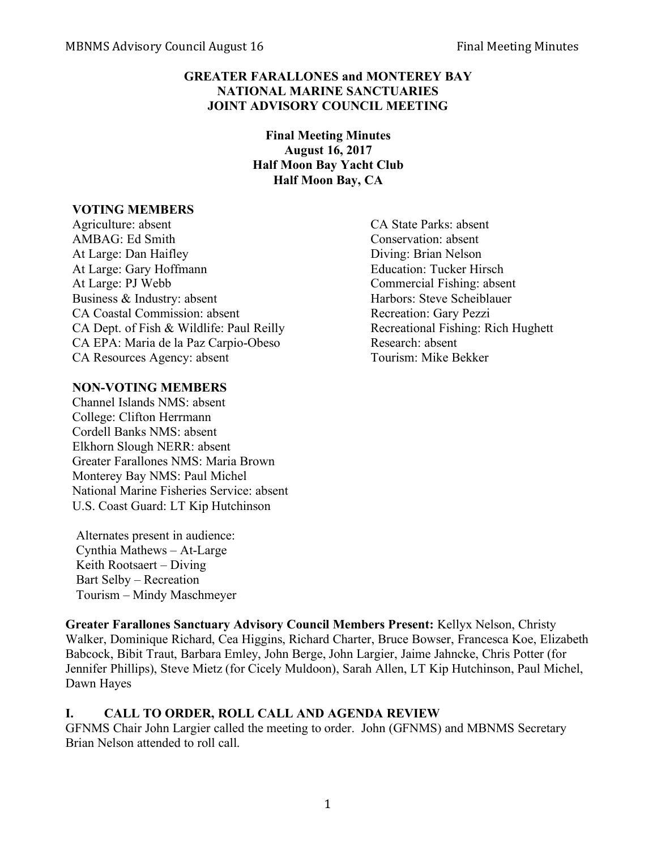## **GREATER FARALLONES and MONTEREY BAY NATIONAL MARINE SANCTUARIES JOINT ADVISORY COUNCIL MEETING**

**Final Meeting Minutes August 16, 2017 Half Moon Bay Yacht Club Half Moon Bay, CA**

#### **VOTING MEMBERS**

Agriculture: absent CA State Parks: absent AMBAG: Ed Smith Conservation: absent At Large: Dan Haifley Diving: Brian Nelson At Large: Gary Hoffmann Education: Tucker Hirsch At Large: PJ Webb Commercial Fishing: absent Business & Industry: absent Harbors: Steve Scheiblauer CA Coastal Commission: absent Recreation: Gary Pezzi CA Dept. of Fish & Wildlife: Paul Reilly Recreational Fishing: Rich Hughett CA EPA: Maria de la Paz Carpio-Obeso Research: absent CA Resources Agency: absent Tourism: Mike Bekker

## **NON-VOTING MEMBERS**

Channel Islands NMS: absent College: Clifton Herrmann Cordell Banks NMS: absent Elkhorn Slough NERR: absent Greater Farallones NMS: Maria Brown Monterey Bay NMS: Paul Michel National Marine Fisheries Service: absent U.S. Coast Guard: LT Kip Hutchinson

Alternates present in audience: Cynthia Mathews – At-Large Keith Rootsaert – Diving Bart Selby – Recreation Tourism – Mindy Maschmeyer

**Greater Farallones Sanctuary Advisory Council Members Present:** Kellyx Nelson, Christy Walker, Dominique Richard, Cea Higgins, Richard Charter, Bruce Bowser, Francesca Koe, Elizabeth Babcock, Bibit Traut, Barbara Emley, John Berge, John Largier, Jaime Jahncke, Chris Potter (for Jennifer Phillips), Steve Mietz (for Cicely Muldoon), Sarah Allen, LT Kip Hutchinson, Paul Michel, Dawn Hayes

## **I. CALL TO ORDER, ROLL CALL AND AGENDA REVIEW**

GFNMS Chair John Largier called the meeting to order. John (GFNMS) and MBNMS Secretary Brian Nelson attended to roll call.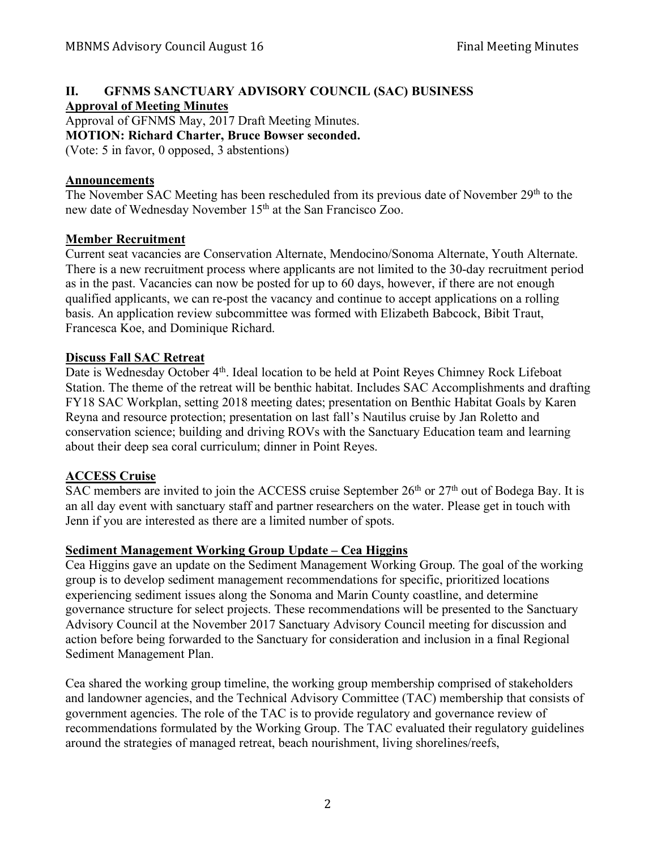# **II. GFNMS SANCTUARY ADVISORY COUNCIL (SAC) BUSINESS**

**Approval of Meeting Minutes**

Approval of GFNMS May, 2017 Draft Meeting Minutes.

**MOTION: Richard Charter, Bruce Bowser seconded.**

(Vote: 5 in favor, 0 opposed, 3 abstentions)

## **Announcements**

The November SAC Meeting has been rescheduled from its previous date of November 29<sup>th</sup> to the new date of Wednesday November 15<sup>th</sup> at the San Francisco Zoo.

## **Member Recruitment**

Current seat vacancies are Conservation Alternate, Mendocino/Sonoma Alternate, Youth Alternate. There is a new recruitment process where applicants are not limited to the 30-day recruitment period as in the past. Vacancies can now be posted for up to 60 days, however, if there are not enough qualified applicants, we can re-post the vacancy and continue to accept applications on a rolling basis. An application review subcommittee was formed with Elizabeth Babcock, Bibit Traut, Francesca Koe, and Dominique Richard.

## **Discuss Fall SAC Retreat**

Date is Wednesday October 4<sup>th</sup>. Ideal location to be held at Point Reyes Chimney Rock Lifeboat Station. The theme of the retreat will be benthic habitat. Includes SAC Accomplishments and drafting FY18 SAC Workplan, setting 2018 meeting dates; presentation on Benthic Habitat Goals by Karen Reyna and resource protection; presentation on last fall's Nautilus cruise by Jan Roletto and conservation science; building and driving ROVs with the Sanctuary Education team and learning about their deep sea coral curriculum; dinner in Point Reyes.

# **ACCESS Cruise**

 $SAC$  members are invited to join the ACCESS cruise September  $26<sup>th</sup>$  or  $27<sup>th</sup>$  out of Bodega Bay. It is an all day event with sanctuary staff and partner researchers on the water. Please get in touch with Jenn if you are interested as there are a limited number of spots.

# **Sediment Management Working Group Update – Cea Higgins**

Cea Higgins gave an update on the Sediment Management Working Group. The goal of the working group is to develop sediment management recommendations for specific, prioritized locations experiencing sediment issues along the Sonoma and Marin County coastline, and determine governance structure for select projects. These recommendations will be presented to the Sanctuary Advisory Council at the November 2017 Sanctuary Advisory Council meeting for discussion and action before being forwarded to the Sanctuary for consideration and inclusion in a final Regional Sediment Management Plan.

Cea shared the working group timeline, the working group membership comprised of stakeholders and landowner agencies, and the Technical Advisory Committee (TAC) membership that consists of government agencies. The role of the TAC is to provide regulatory and governance review of recommendations formulated by the Working Group. The TAC evaluated their regulatory guidelines around the strategies of managed retreat, beach nourishment, living shorelines/reefs,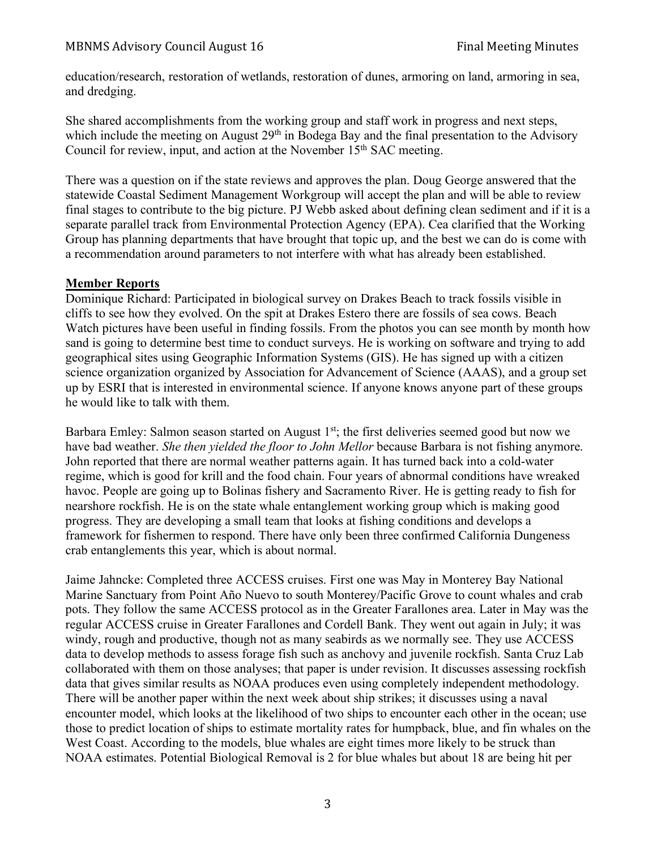education/research, restoration of wetlands, restoration of dunes, armoring on land, armoring in sea, and dredging.

She shared accomplishments from the working group and staff work in progress and next steps, which include the meeting on August 29<sup>th</sup> in Bodega Bay and the final presentation to the Advisory Council for review, input, and action at the November 15<sup>th</sup> SAC meeting.

There was a question on if the state reviews and approves the plan. Doug George answered that the statewide Coastal Sediment Management Workgroup will accept the plan and will be able to review final stages to contribute to the big picture. PJ Webb asked about defining clean sediment and if it is a separate parallel track from Environmental Protection Agency (EPA). Cea clarified that the Working Group has planning departments that have brought that topic up, and the best we can do is come with a recommendation around parameters to not interfere with what has already been established.

## **Member Reports**

Dominique Richard: Participated in biological survey on Drakes Beach to track fossils visible in cliffs to see how they evolved. On the spit at Drakes Estero there are fossils of sea cows. Beach Watch pictures have been useful in finding fossils. From the photos you can see month by month how sand is going to determine best time to conduct surveys. He is working on software and trying to add geographical sites using Geographic Information Systems (GIS). He has signed up with a citizen science organization organized by Association for Advancement of Science (AAAS), and a group set up by ESRI that is interested in environmental science. If anyone knows anyone part of these groups he would like to talk with them.

Barbara Emley: Salmon season started on August 1<sup>st</sup>; the first deliveries seemed good but now we have bad weather. *She then yielded the floor to John Mellor* because Barbara is not fishing anymore. John reported that there are normal weather patterns again. It has turned back into a cold-water regime, which is good for krill and the food chain. Four years of abnormal conditions have wreaked havoc. People are going up to Bolinas fishery and Sacramento River. He is getting ready to fish for nearshore rockfish. He is on the state whale entanglement working group which is making good progress. They are developing a small team that looks at fishing conditions and develops a framework for fishermen to respond. There have only been three confirmed California Dungeness crab entanglements this year, which is about normal.

Jaime Jahncke: Completed three ACCESS cruises. First one was May in Monterey Bay National Marine Sanctuary from Point Año Nuevo to south Monterey/Pacific Grove to count whales and crab pots. They follow the same ACCESS protocol as in the Greater Farallones area. Later in May was the regular ACCESS cruise in Greater Farallones and Cordell Bank. They went out again in July; it was windy, rough and productive, though not as many seabirds as we normally see. They use ACCESS data to develop methods to assess forage fish such as anchovy and juvenile rockfish. Santa Cruz Lab collaborated with them on those analyses; that paper is under revision. It discusses assessing rockfish data that gives similar results as NOAA produces even using completely independent methodology. There will be another paper within the next week about ship strikes; it discusses using a naval encounter model, which looks at the likelihood of two ships to encounter each other in the ocean; use those to predict location of ships to estimate mortality rates for humpback, blue, and fin whales on the West Coast. According to the models, blue whales are eight times more likely to be struck than NOAA estimates. Potential Biological Removal is 2 for blue whales but about 18 are being hit per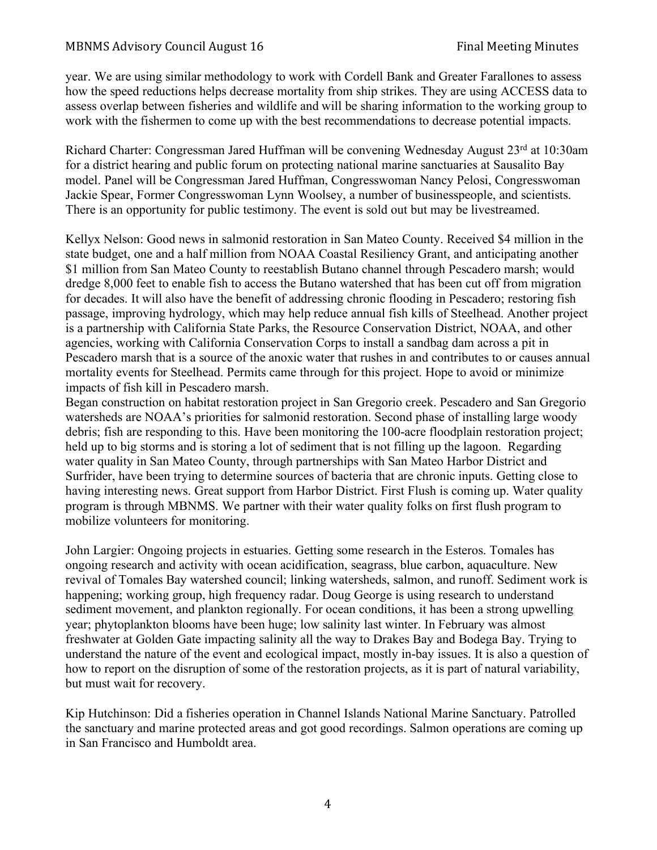year. We are using similar methodology to work with Cordell Bank and Greater Farallones to assess how the speed reductions helps decrease mortality from ship strikes. They are using ACCESS data to assess overlap between fisheries and wildlife and will be sharing information to the working group to work with the fishermen to come up with the best recommendations to decrease potential impacts.

Richard Charter: Congressman Jared Huffman will be convening Wednesday August 23<sup>rd</sup> at 10:30am for a district hearing and public forum on protecting national marine sanctuaries at Sausalito Bay model. Panel will be Congressman Jared Huffman, Congresswoman Nancy Pelosi, Congresswoman Jackie Spear, Former Congresswoman Lynn Woolsey, a number of businesspeople, and scientists. There is an opportunity for public testimony. The event is sold out but may be livestreamed.

Kellyx Nelson: Good news in salmonid restoration in San Mateo County. Received \$4 million in the state budget, one and a half million from NOAA Coastal Resiliency Grant, and anticipating another \$1 million from San Mateo County to reestablish Butano channel through Pescadero marsh; would dredge 8,000 feet to enable fish to access the Butano watershed that has been cut off from migration for decades. It will also have the benefit of addressing chronic flooding in Pescadero; restoring fish passage, improving hydrology, which may help reduce annual fish kills of Steelhead. Another project is a partnership with California State Parks, the Resource Conservation District, NOAA, and other agencies, working with California Conservation Corps to install a sandbag dam across a pit in Pescadero marsh that is a source of the anoxic water that rushes in and contributes to or causes annual mortality events for Steelhead. Permits came through for this project. Hope to avoid or minimize impacts of fish kill in Pescadero marsh.

Began construction on habitat restoration project in San Gregorio creek. Pescadero and San Gregorio watersheds are NOAA's priorities for salmonid restoration. Second phase of installing large woody debris; fish are responding to this. Have been monitoring the 100-acre floodplain restoration project; held up to big storms and is storing a lot of sediment that is not filling up the lagoon. Regarding water quality in San Mateo County, through partnerships with San Mateo Harbor District and Surfrider, have been trying to determine sources of bacteria that are chronic inputs. Getting close to having interesting news. Great support from Harbor District. First Flush is coming up. Water quality program is through MBNMS. We partner with their water quality folks on first flush program to mobilize volunteers for monitoring.

John Largier: Ongoing projects in estuaries. Getting some research in the Esteros. Tomales has ongoing research and activity with ocean acidification, seagrass, blue carbon, aquaculture. New revival of Tomales Bay watershed council; linking watersheds, salmon, and runoff. Sediment work is happening; working group, high frequency radar. Doug George is using research to understand sediment movement, and plankton regionally. For ocean conditions, it has been a strong upwelling year; phytoplankton blooms have been huge; low salinity last winter. In February was almost freshwater at Golden Gate impacting salinity all the way to Drakes Bay and Bodega Bay. Trying to understand the nature of the event and ecological impact, mostly in-bay issues. It is also a question of how to report on the disruption of some of the restoration projects, as it is part of natural variability, but must wait for recovery.

Kip Hutchinson: Did a fisheries operation in Channel Islands National Marine Sanctuary. Patrolled the sanctuary and marine protected areas and got good recordings. Salmon operations are coming up in San Francisco and Humboldt area.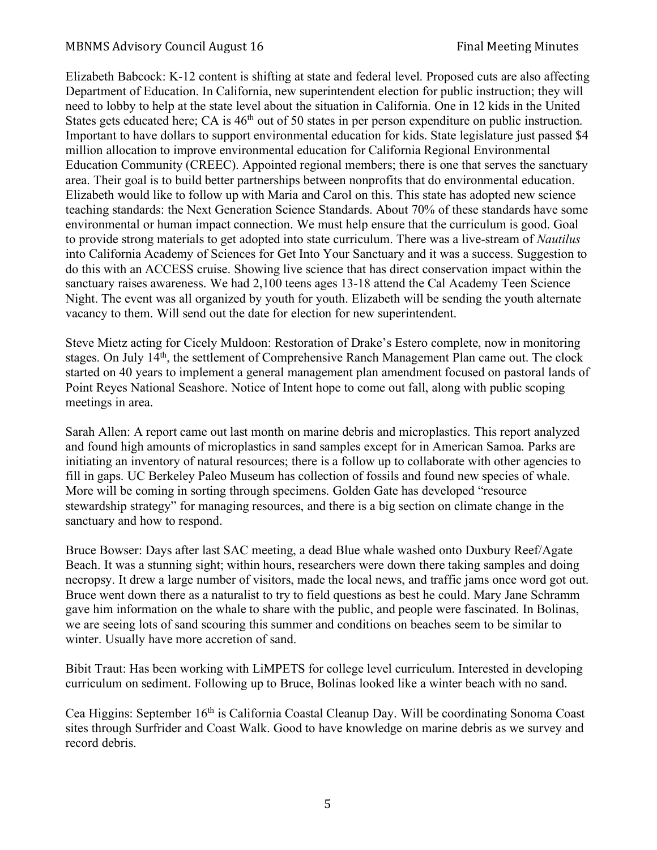Elizabeth Babcock: K-12 content is shifting at state and federal level. Proposed cuts are also affecting Department of Education. In California, new superintendent election for public instruction; they will need to lobby to help at the state level about the situation in California. One in 12 kids in the United States gets educated here; CA is 46<sup>th</sup> out of 50 states in per person expenditure on public instruction. Important to have dollars to support environmental education for kids. State legislature just passed \$4 million allocation to improve environmental education for California Regional Environmental Education Community (CREEC). Appointed regional members; there is one that serves the sanctuary area. Their goal is to build better partnerships between nonprofits that do environmental education. Elizabeth would like to follow up with Maria and Carol on this. This state has adopted new science teaching standards: the Next Generation Science Standards. About 70% of these standards have some environmental or human impact connection. We must help ensure that the curriculum is good. Goal to provide strong materials to get adopted into state curriculum. There was a live-stream of *Nautilus* into California Academy of Sciences for Get Into Your Sanctuary and it was a success. Suggestion to do this with an ACCESS cruise. Showing live science that has direct conservation impact within the sanctuary raises awareness. We had 2,100 teens ages 13-18 attend the Cal Academy Teen Science Night. The event was all organized by youth for youth. Elizabeth will be sending the youth alternate vacancy to them. Will send out the date for election for new superintendent.

Steve Mietz acting for Cicely Muldoon: Restoration of Drake's Estero complete, now in monitoring stages. On July 14<sup>th</sup>, the settlement of Comprehensive Ranch Management Plan came out. The clock started on 40 years to implement a general management plan amendment focused on pastoral lands of Point Reyes National Seashore. Notice of Intent hope to come out fall, along with public scoping meetings in area.

Sarah Allen: A report came out last month on marine debris and microplastics. This report analyzed and found high amounts of microplastics in sand samples except for in American Samoa. Parks are initiating an inventory of natural resources; there is a follow up to collaborate with other agencies to fill in gaps. UC Berkeley Paleo Museum has collection of fossils and found new species of whale. More will be coming in sorting through specimens. Golden Gate has developed "resource stewardship strategy" for managing resources, and there is a big section on climate change in the sanctuary and how to respond.

Bruce Bowser: Days after last SAC meeting, a dead Blue whale washed onto Duxbury Reef/Agate Beach. It was a stunning sight; within hours, researchers were down there taking samples and doing necropsy. It drew a large number of visitors, made the local news, and traffic jams once word got out. Bruce went down there as a naturalist to try to field questions as best he could. Mary Jane Schramm gave him information on the whale to share with the public, and people were fascinated. In Bolinas, we are seeing lots of sand scouring this summer and conditions on beaches seem to be similar to winter. Usually have more accretion of sand.

Bibit Traut: Has been working with LiMPETS for college level curriculum. Interested in developing curriculum on sediment. Following up to Bruce, Bolinas looked like a winter beach with no sand.

Cea Higgins: September 16th is California Coastal Cleanup Day. Will be coordinating Sonoma Coast sites through Surfrider and Coast Walk. Good to have knowledge on marine debris as we survey and record debris.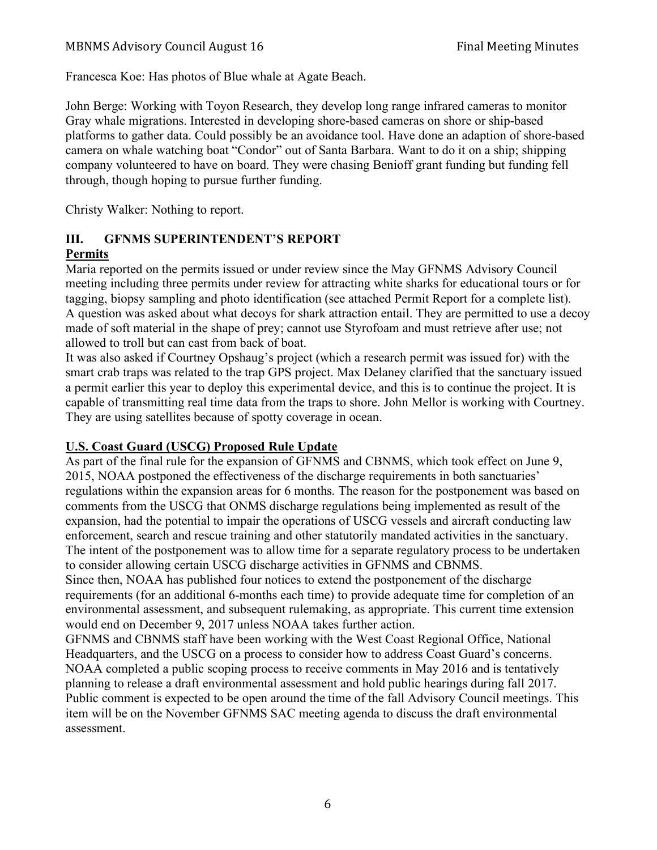Francesca Koe: Has photos of Blue whale at Agate Beach.

John Berge: Working with Toyon Research, they develop long range infrared cameras to monitor Gray whale migrations. Interested in developing shore-based cameras on shore or ship-based platforms to gather data. Could possibly be an avoidance tool. Have done an adaption of shore-based camera on whale watching boat "Condor" out of Santa Barbara. Want to do it on a ship; shipping company volunteered to have on board. They were chasing Benioff grant funding but funding fell through, though hoping to pursue further funding.

Christy Walker: Nothing to report.

#### **III. GFNMS SUPERINTENDENT'S REPORT Permits**

Maria reported on the permits issued or under review since the May GFNMS Advisory Council meeting including three permits under review for attracting white sharks for educational tours or for tagging, biopsy sampling and photo identification (see attached Permit Report for a complete list). A question was asked about what decoys for shark attraction entail. They are permitted to use a decoy made of soft material in the shape of prey; cannot use Styrofoam and must retrieve after use; not allowed to troll but can cast from back of boat.

It was also asked if Courtney Opshaug's project (which a research permit was issued for) with the smart crab traps was related to the trap GPS project. Max Delaney clarified that the sanctuary issued a permit earlier this year to deploy this experimental device, and this is to continue the project. It is capable of transmitting real time data from the traps to shore. John Mellor is working with Courtney. They are using satellites because of spotty coverage in ocean.

# **U.S. Coast Guard (USCG) Proposed Rule Update**

As part of the final rule for the expansion of GFNMS and CBNMS, which took effect on June 9, 2015, NOAA postponed the effectiveness of the discharge requirements in both sanctuaries' regulations within the expansion areas for 6 months. The reason for the postponement was based on comments from the USCG that ONMS discharge regulations being implemented as result of the expansion, had the potential to impair the operations of USCG vessels and aircraft conducting law enforcement, search and rescue training and other statutorily mandated activities in the sanctuary. The intent of the postponement was to allow time for a separate regulatory process to be undertaken to consider allowing certain USCG discharge activities in GFNMS and CBNMS.

Since then, NOAA has published four notices to extend the postponement of the discharge requirements (for an additional 6-months each time) to provide adequate time for completion of an environmental assessment, and subsequent rulemaking, as appropriate. This current time extension would end on December 9, 2017 unless NOAA takes further action.

GFNMS and CBNMS staff have been working with the West Coast Regional Office, National Headquarters, and the USCG on a process to consider how to address Coast Guard's concerns. NOAA completed a public scoping process to receive comments in May 2016 and is tentatively planning to release a draft environmental assessment and hold public hearings during fall 2017. Public comment is expected to be open around the time of the fall Advisory Council meetings. This item will be on the November GFNMS SAC meeting agenda to discuss the draft environmental assessment.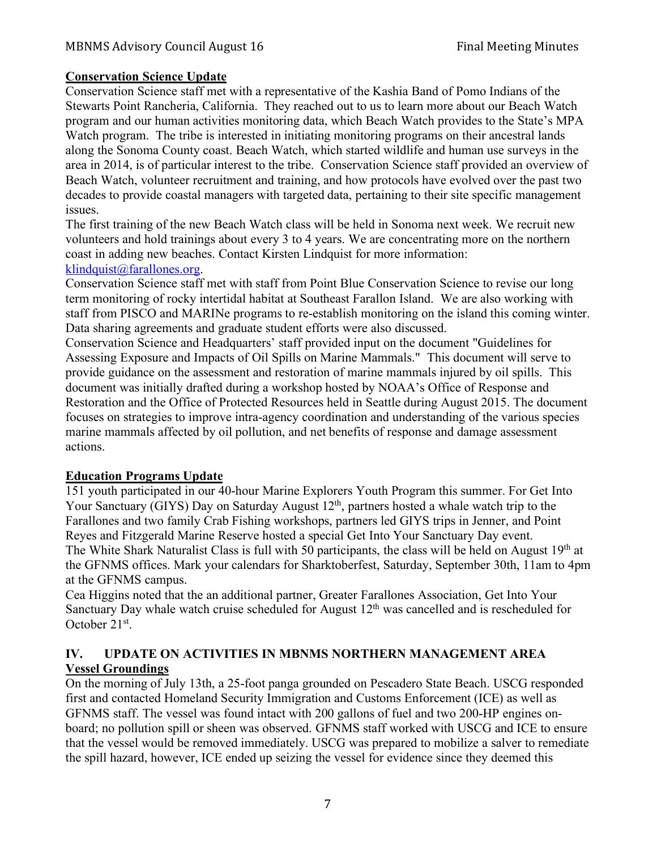#### **Conservation Science Update**

Conservation Science staff met with a representative of the Kashia Band of Pomo Indians of the Stewarts Point Rancheria, California. They reached out to us to learn more about our Beach Watch program and our human activities monitoring data, which Beach Watch provides to the State's MPA Watch program. The tribe is interested in initiating monitoring programs on their ancestral lands along the Sonoma County coast. Beach Watch, which started wildlife and human use surveys in the area in 2014, is of particular interest to the tribe. Conservation Science staff provided an overview of Beach Watch, volunteer recruitment and training, and how protocols have evolved over the past two decades to provide coastal managers with targeted data, pertaining to their site specific management issues.

The first training of the new Beach Watch class will be held in Sonoma next week. We recruit new volunteers and hold trainings about every 3 to 4 years. We are concentrating more on the northern coast in adding new beaches. Contact Kirsten Lindquist for more information:  $k$ lindquist@farallones.org.

Conservation Science staff met with staff from Point Blue Conservation Science to revise our long term monitoring of rocky intertidal habitat at Southeast Farallon Island. We are also working with staff from PISCO and MARINe programs to re-establish monitoring on the island this coming winter. Data sharing agreements and graduate student efforts were also discussed.

Conservation Science and Headquarters' staff provided input on the document "Guidelines for Assessing Exposure and Impacts of Oil Spills on Marine Mammals." This document will serve to provide guidance on the assessment and restoration of marine mammals injured by oil spills. This document was initially drafted during a workshop hosted by NOAA's Office of Response and Restoration and the Office of Protected Resources held in Seattle during August 2015. The document focuses on strategies to improve intra-agency coordination and understanding of the various species marine mammals affected by oil pollution, and net benefits of response and damage assessment actions.

#### **Education Programs Update**

151 youth participated in our 40-hour Marine Explorers Youth Program this summer. For Get Into Your Sanctuary (GIYS) Day on Saturday August 12<sup>th</sup>, partners hosted a whale watch trip to the Farallones and two family Crab Fishing workshops, partners led GIYS trips in Jenner, and Point Reyes and Fitzgerald Marine Reserve hosted a special Get Into Your Sanctuary Day event. The White Shark Naturalist Class is full with 50 participants, the class will be held on August 19<sup>th</sup> at the GFNMS offices. Mark your calendars for Sharktoberfest, Saturday, September 30th, 11am to 4pm at the GFNMS campus.

Cea Higgins noted that the an additional partner, Greater Farallones Association, Get Into Your Sanctuary Day whale watch cruise scheduled for August  $12<sup>th</sup>$  was cancelled and is rescheduled for October 21st.

## **IV. UPDATE ON ACTIVITIES IN MBNMS NORTHERN MANAGEMENT AREA Vessel Groundings**

On the morning of July 13th, a 25-foot panga grounded on Pescadero State Beach. USCG responded first and contacted Homeland Security Immigration and Customs Enforcement (ICE) as well as GFNMS staff. The vessel was found intact with 200 gallons of fuel and two 200-HP engines onboard; no pollution spill or sheen was observed. GFNMS staff worked with USCG and ICE to ensure that the vessel would be removed immediately. USCG was prepared to mobilize a salver to remediate the spill hazard, however, ICE ended up seizing the vessel for evidence since they deemed this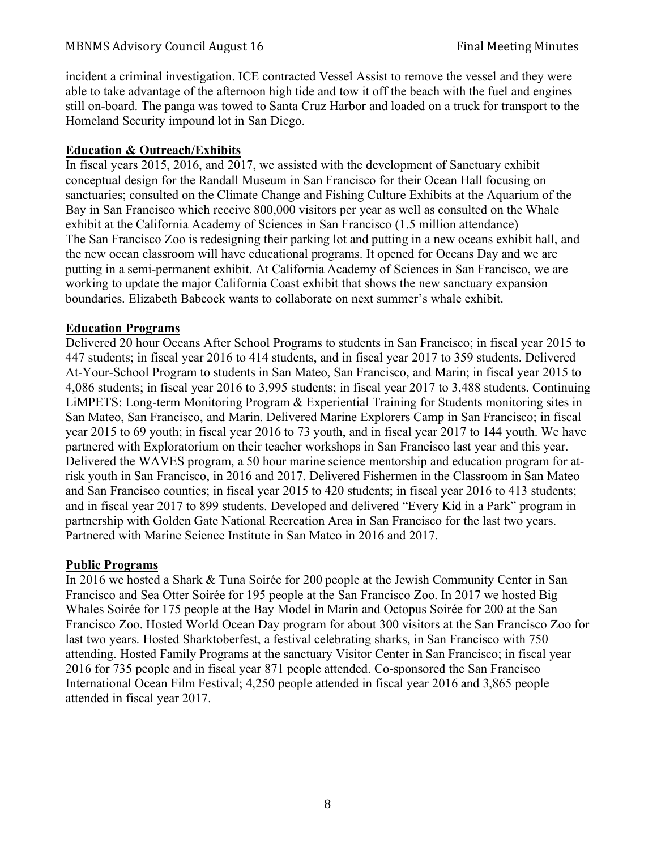incident a criminal investigation. ICE contracted Vessel Assist to remove the vessel and they were able to take advantage of the afternoon high tide and tow it off the beach with the fuel and engines still on-board. The panga was towed to Santa Cruz Harbor and loaded on a truck for transport to the Homeland Security impound lot in San Diego.

## **Education & Outreach/Exhibits**

In fiscal years 2015, 2016, and 2017, we assisted with the development of Sanctuary exhibit conceptual design for the Randall Museum in San Francisco for their Ocean Hall focusing on sanctuaries; consulted on the Climate Change and Fishing Culture Exhibits at the Aquarium of the Bay in San Francisco which receive 800,000 visitors per year as well as consulted on the Whale exhibit at the California Academy of Sciences in San Francisco (1.5 million attendance) The San Francisco Zoo is redesigning their parking lot and putting in a new oceans exhibit hall, and the new ocean classroom will have educational programs. It opened for Oceans Day and we are putting in a semi-permanent exhibit. At California Academy of Sciences in San Francisco, we are working to update the major California Coast exhibit that shows the new sanctuary expansion boundaries. Elizabeth Babcock wants to collaborate on next summer's whale exhibit.

#### **Education Programs**

Delivered 20 hour Oceans After School Programs to students in San Francisco; in fiscal year 2015 to 447 students; in fiscal year 2016 to 414 students, and in fiscal year 2017 to 359 students. Delivered At-Your-School Program to students in San Mateo, San Francisco, and Marin; in fiscal year 2015 to 4,086 students; in fiscal year 2016 to 3,995 students; in fiscal year 2017 to 3,488 students. Continuing LiMPETS: Long-term Monitoring Program & Experiential Training for Students monitoring sites in San Mateo, San Francisco, and Marin. Delivered Marine Explorers Camp in San Francisco; in fiscal year 2015 to 69 youth; in fiscal year 2016 to 73 youth, and in fiscal year 2017 to 144 youth. We have partnered with Exploratorium on their teacher workshops in San Francisco last year and this year. Delivered the WAVES program, a 50 hour marine science mentorship and education program for atrisk youth in San Francisco, in 2016 and 2017. Delivered Fishermen in the Classroom in San Mateo and San Francisco counties; in fiscal year 2015 to 420 students; in fiscal year 2016 to 413 students; and in fiscal year 2017 to 899 students. Developed and delivered "Every Kid in a Park" program in partnership with Golden Gate National Recreation Area in San Francisco for the last two years. Partnered with Marine Science Institute in San Mateo in 2016 and 2017.

## **Public Programs**

In 2016 we hosted a Shark & Tuna Soirée for 200 people at the Jewish Community Center in San Francisco and Sea Otter Soirée for 195 people at the San Francisco Zoo. In 2017 we hosted Big Whales Soirée for 175 people at the Bay Model in Marin and Octopus Soirée for 200 at the San Francisco Zoo. Hosted World Ocean Day program for about 300 visitors at the San Francisco Zoo for last two years. Hosted Sharktoberfest, a festival celebrating sharks, in San Francisco with 750 attending. Hosted Family Programs at the sanctuary Visitor Center in San Francisco; in fiscal year 2016 for 735 people and in fiscal year 871 people attended. Co-sponsored the San Francisco International Ocean Film Festival; 4,250 people attended in fiscal year 2016 and 3,865 people attended in fiscal year 2017.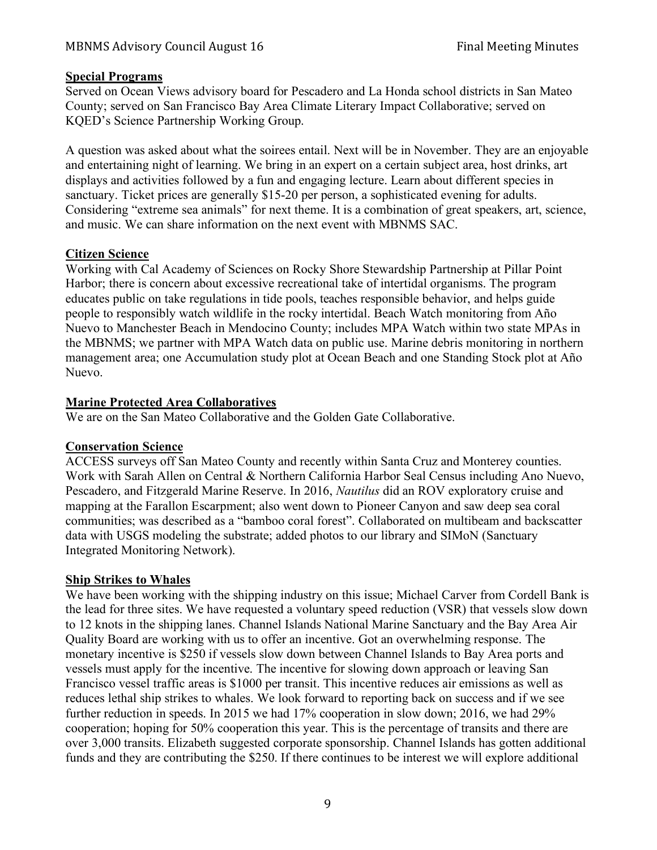#### **Special Programs**

Served on Ocean Views advisory board for Pescadero and La Honda school districts in San Mateo County; served on San Francisco Bay Area Climate Literary Impact Collaborative; served on KQED's Science Partnership Working Group.

A question was asked about what the soirees entail. Next will be in November. They are an enjoyable and entertaining night of learning. We bring in an expert on a certain subject area, host drinks, art displays and activities followed by a fun and engaging lecture. Learn about different species in sanctuary. Ticket prices are generally \$15-20 per person, a sophisticated evening for adults. Considering "extreme sea animals" for next theme. It is a combination of great speakers, art, science, and music. We can share information on the next event with MBNMS SAC.

#### **Citizen Science**

Working with Cal Academy of Sciences on Rocky Shore Stewardship Partnership at Pillar Point Harbor; there is concern about excessive recreational take of intertidal organisms. The program educates public on take regulations in tide pools, teaches responsible behavior, and helps guide people to responsibly watch wildlife in the rocky intertidal. Beach Watch monitoring from Año Nuevo to Manchester Beach in Mendocino County; includes MPA Watch within two state MPAs in the MBNMS; we partner with MPA Watch data on public use. Marine debris monitoring in northern management area; one Accumulation study plot at Ocean Beach and one Standing Stock plot at Año Nuevo.

#### **Marine Protected Area Collaboratives**

We are on the San Mateo Collaborative and the Golden Gate Collaborative.

## **Conservation Science**

ACCESS surveys off San Mateo County and recently within Santa Cruz and Monterey counties. Work with Sarah Allen on Central & Northern California Harbor Seal Census including Ano Nuevo, Pescadero, and Fitzgerald Marine Reserve. In 2016, *Nautilus* did an ROV exploratory cruise and mapping at the Farallon Escarpment; also went down to Pioneer Canyon and saw deep sea coral communities; was described as a "bamboo coral forest". Collaborated on multibeam and backscatter data with USGS modeling the substrate; added photos to our library and SIMoN (Sanctuary Integrated Monitoring Network).

#### **Ship Strikes to Whales**

We have been working with the shipping industry on this issue; Michael Carver from Cordell Bank is the lead for three sites. We have requested a voluntary speed reduction (VSR) that vessels slow down to 12 knots in the shipping lanes. Channel Islands National Marine Sanctuary and the Bay Area Air Quality Board are working with us to offer an incentive. Got an overwhelming response. The monetary incentive is \$250 if vessels slow down between Channel Islands to Bay Area ports and vessels must apply for the incentive. The incentive for slowing down approach or leaving San Francisco vessel traffic areas is \$1000 per transit. This incentive reduces air emissions as well as reduces lethal ship strikes to whales. We look forward to reporting back on success and if we see further reduction in speeds. In 2015 we had 17% cooperation in slow down; 2016, we had 29% cooperation; hoping for 50% cooperation this year. This is the percentage of transits and there are over 3,000 transits. Elizabeth suggested corporate sponsorship. Channel Islands has gotten additional funds and they are contributing the \$250. If there continues to be interest we will explore additional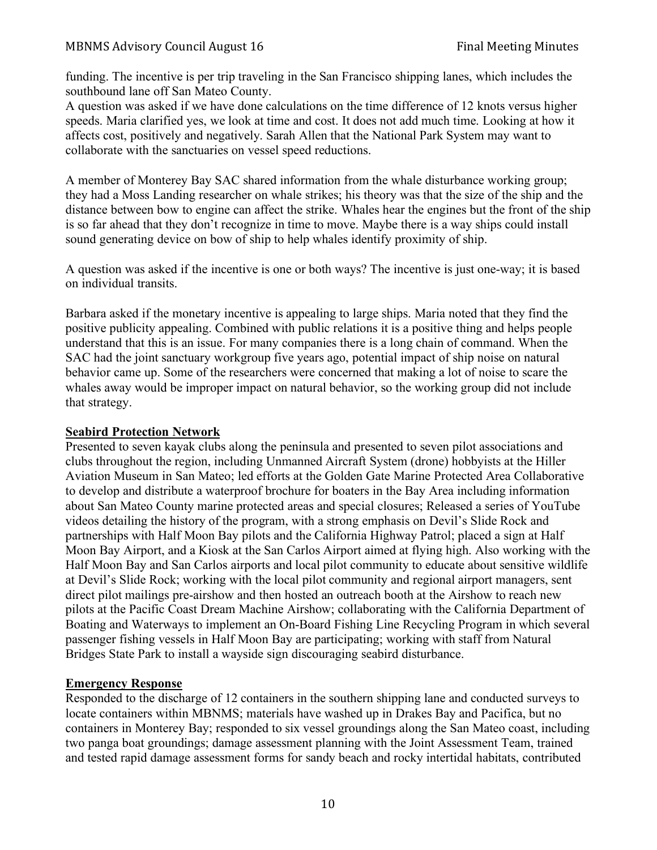funding. The incentive is per trip traveling in the San Francisco shipping lanes, which includes the southbound lane off San Mateo County.

A question was asked if we have done calculations on the time difference of 12 knots versus higher speeds. Maria clarified yes, we look at time and cost. It does not add much time. Looking at how it affects cost, positively and negatively. Sarah Allen that the National Park System may want to collaborate with the sanctuaries on vessel speed reductions.

A member of Monterey Bay SAC shared information from the whale disturbance working group; they had a Moss Landing researcher on whale strikes; his theory was that the size of the ship and the distance between bow to engine can affect the strike. Whales hear the engines but the front of the ship is so far ahead that they don't recognize in time to move. Maybe there is a way ships could install sound generating device on bow of ship to help whales identify proximity of ship.

A question was asked if the incentive is one or both ways? The incentive is just one-way; it is based on individual transits.

Barbara asked if the monetary incentive is appealing to large ships. Maria noted that they find the positive publicity appealing. Combined with public relations it is a positive thing and helps people understand that this is an issue. For many companies there is a long chain of command. When the SAC had the joint sanctuary workgroup five years ago, potential impact of ship noise on natural behavior came up. Some of the researchers were concerned that making a lot of noise to scare the whales away would be improper impact on natural behavior, so the working group did not include that strategy.

#### **Seabird Protection Network**

Presented to seven kayak clubs along the peninsula and presented to seven pilot associations and clubs throughout the region, including Unmanned Aircraft System (drone) hobbyists at the Hiller Aviation Museum in San Mateo; led efforts at the Golden Gate Marine Protected Area Collaborative to develop and distribute a waterproof brochure for boaters in the Bay Area including information about San Mateo County marine protected areas and special closures; Released a series of YouTube videos detailing the history of the program, with a strong emphasis on Devil's Slide Rock and partnerships with Half Moon Bay pilots and the California Highway Patrol; placed a sign at Half Moon Bay Airport, and a Kiosk at the San Carlos Airport aimed at flying high. Also working with the Half Moon Bay and San Carlos airports and local pilot community to educate about sensitive wildlife at Devil's Slide Rock; working with the local pilot community and regional airport managers, sent direct pilot mailings pre-airshow and then hosted an outreach booth at the Airshow to reach new pilots at the Pacific Coast Dream Machine Airshow; collaborating with the California Department of Boating and Waterways to implement an On-Board Fishing Line Recycling Program in which several passenger fishing vessels in Half Moon Bay are participating; working with staff from Natural Bridges State Park to install a wayside sign discouraging seabird disturbance.

## **Emergency Response**

Responded to the discharge of 12 containers in the southern shipping lane and conducted surveys to locate containers within MBNMS; materials have washed up in Drakes Bay and Pacifica, but no containers in Monterey Bay; responded to six vessel groundings along the San Mateo coast, including two panga boat groundings; damage assessment planning with the Joint Assessment Team, trained and tested rapid damage assessment forms for sandy beach and rocky intertidal habitats, contributed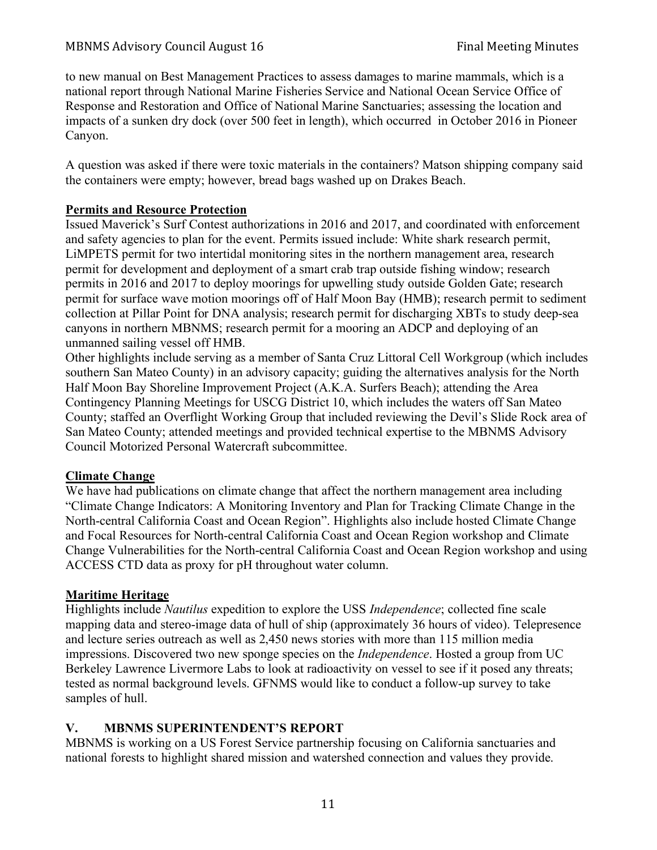to new manual on Best Management Practices to assess damages to marine mammals, which is a national report through National Marine Fisheries Service and National Ocean Service Office of Response and Restoration and Office of National Marine Sanctuaries; assessing the location and impacts of a sunken dry dock (over 500 feet in length), which occurred in October 2016 in Pioneer Canyon.

A question was asked if there were toxic materials in the containers? Matson shipping company said the containers were empty; however, bread bags washed up on Drakes Beach.

## **Permits and Resource Protection**

Issued Maverick's Surf Contest authorizations in 2016 and 2017, and coordinated with enforcement and safety agencies to plan for the event. Permits issued include: White shark research permit, LiMPETS permit for two intertidal monitoring sites in the northern management area, research permit for development and deployment of a smart crab trap outside fishing window; research permits in 2016 and 2017 to deploy moorings for upwelling study outside Golden Gate; research permit for surface wave motion moorings off of Half Moon Bay (HMB); research permit to sediment collection at Pillar Point for DNA analysis; research permit for discharging XBTs to study deep-sea canyons in northern MBNMS; research permit for a mooring an ADCP and deploying of an unmanned sailing vessel off HMB.

Other highlights include serving as a member of Santa Cruz Littoral Cell Workgroup (which includes southern San Mateo County) in an advisory capacity; guiding the alternatives analysis for the North Half Moon Bay Shoreline Improvement Project (A.K.A. Surfers Beach); attending the Area Contingency Planning Meetings for USCG District 10, which includes the waters off San Mateo County; staffed an Overflight Working Group that included reviewing the Devil's Slide Rock area of San Mateo County; attended meetings and provided technical expertise to the MBNMS Advisory Council Motorized Personal Watercraft subcommittee.

# **Climate Change**

We have had publications on climate change that affect the northern management area including "Climate Change Indicators: A Monitoring Inventory and Plan for Tracking Climate Change in the North-central California Coast and Ocean Region". Highlights also include hosted Climate Change and Focal Resources for North-central California Coast and Ocean Region workshop and Climate Change Vulnerabilities for the North-central California Coast and Ocean Region workshop and using ACCESS CTD data as proxy for pH throughout water column.

# **Maritime Heritage**

Highlights include *Nautilus* expedition to explore the USS *Independence*; collected fine scale mapping data and stereo-image data of hull of ship (approximately 36 hours of video). Telepresence and lecture series outreach as well as 2,450 news stories with more than 115 million media impressions. Discovered two new sponge species on the *Independence*. Hosted a group from UC Berkeley Lawrence Livermore Labs to look at radioactivity on vessel to see if it posed any threats; tested as normal background levels. GFNMS would like to conduct a follow-up survey to take samples of hull.

# **V. MBNMS SUPERINTENDENT'S REPORT**

MBNMS is working on a US Forest Service partnership focusing on California sanctuaries and national forests to highlight shared mission and watershed connection and values they provide.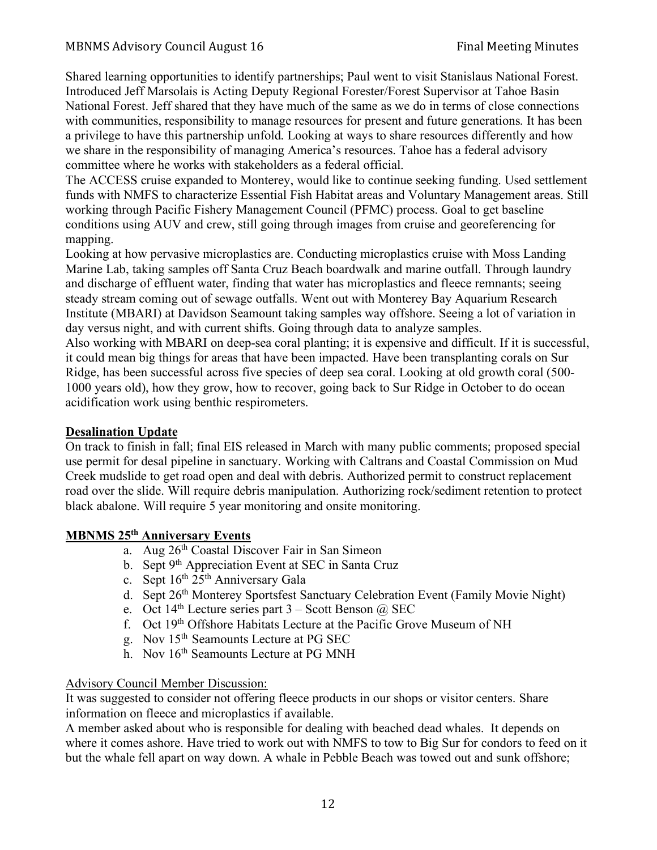Shared learning opportunities to identify partnerships; Paul went to visit Stanislaus National Forest. Introduced Jeff Marsolais is Acting Deputy Regional Forester/Forest Supervisor at Tahoe Basin National Forest. Jeff shared that they have much of the same as we do in terms of close connections with communities, responsibility to manage resources for present and future generations. It has been a privilege to have this partnership unfold. Looking at ways to share resources differently and how we share in the responsibility of managing America's resources. Tahoe has a federal advisory committee where he works with stakeholders as a federal official.

The ACCESS cruise expanded to Monterey, would like to continue seeking funding. Used settlement funds with NMFS to characterize Essential Fish Habitat areas and Voluntary Management areas. Still working through Pacific Fishery Management Council (PFMC) process. Goal to get baseline conditions using AUV and crew, still going through images from cruise and georeferencing for mapping.

Looking at how pervasive microplastics are. Conducting microplastics cruise with Moss Landing Marine Lab, taking samples off Santa Cruz Beach boardwalk and marine outfall. Through laundry and discharge of effluent water, finding that water has microplastics and fleece remnants; seeing steady stream coming out of sewage outfalls. Went out with Monterey Bay Aquarium Research Institute (MBARI) at Davidson Seamount taking samples way offshore. Seeing a lot of variation in day versus night, and with current shifts. Going through data to analyze samples.

Also working with MBARI on deep-sea coral planting; it is expensive and difficult. If it is successful, it could mean big things for areas that have been impacted. Have been transplanting corals on Sur Ridge, has been successful across five species of deep sea coral. Looking at old growth coral (500- 1000 years old), how they grow, how to recover, going back to Sur Ridge in October to do ocean acidification work using benthic respirometers.

#### **Desalination Update**

On track to finish in fall; final EIS released in March with many public comments; proposed special use permit for desal pipeline in sanctuary. Working with Caltrans and Coastal Commission on Mud Creek mudslide to get road open and deal with debris. Authorized permit to construct replacement road over the slide. Will require debris manipulation. Authorizing rock/sediment retention to protect black abalone. Will require 5 year monitoring and onsite monitoring.

## **MBNMS 25th Anniversary Events**

- a. Aug 26<sup>th</sup> Coastal Discover Fair in San Simeon
- b. Sept 9<sup>th</sup> Appreciation Event at SEC in Santa Cruz
- c. Sept  $16<sup>th</sup> 25<sup>th</sup>$  Anniversary Gala
- d. Sept 26th Monterey Sportsfest Sanctuary Celebration Event (Family Movie Night)
- e. Oct 14<sup>th</sup> Lecture series part  $3 -$  Scott Benson @ SEC
- f. Oct 19th Offshore Habitats Lecture at the Pacific Grove Museum of NH
- g. Nov 15th Seamounts Lecture at PG SEC
- h. Nov 16<sup>th</sup> Seamounts Lecture at PG MNH

#### Advisory Council Member Discussion:

It was suggested to consider not offering fleece products in our shops or visitor centers. Share information on fleece and microplastics if available.

A member asked about who is responsible for dealing with beached dead whales. It depends on where it comes ashore. Have tried to work out with NMFS to tow to Big Sur for condors to feed on it but the whale fell apart on way down. A whale in Pebble Beach was towed out and sunk offshore;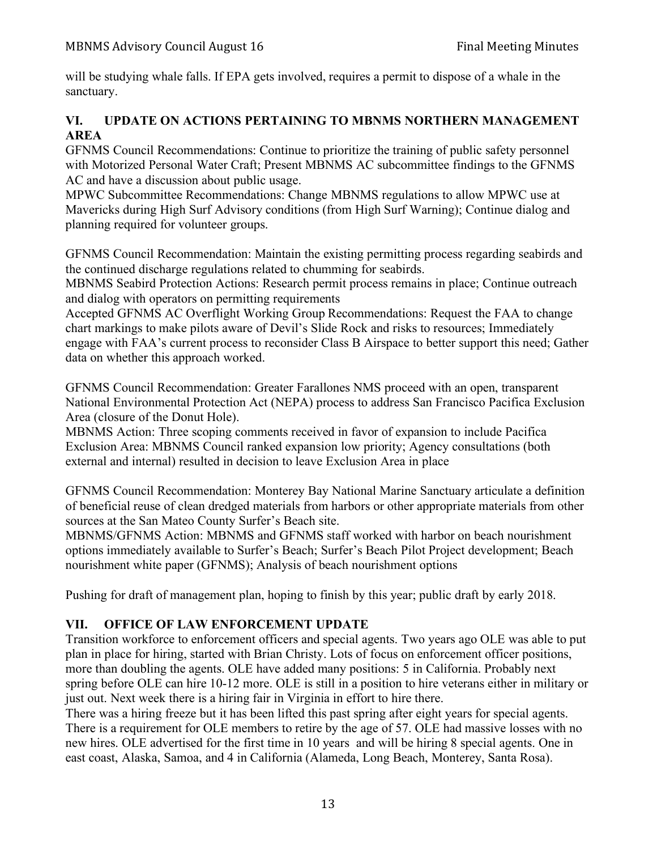will be studying whale falls. If EPA gets involved, requires a permit to dispose of a whale in the sanctuary.

# **VI. UPDATE ON ACTIONS PERTAINING TO MBNMS NORTHERN MANAGEMENT AREA**

GFNMS Council Recommendations: Continue to prioritize the training of public safety personnel with Motorized Personal Water Craft; Present MBNMS AC subcommittee findings to the GFNMS AC and have a discussion about public usage.

MPWC Subcommittee Recommendations: Change MBNMS regulations to allow MPWC use at Mavericks during High Surf Advisory conditions (from High Surf Warning); Continue dialog and planning required for volunteer groups.

GFNMS Council Recommendation: Maintain the existing permitting process regarding seabirds and the continued discharge regulations related to chumming for seabirds.

MBNMS Seabird Protection Actions: Research permit process remains in place; Continue outreach and dialog with operators on permitting requirements

Accepted GFNMS AC Overflight Working Group Recommendations: Request the FAA to change chart markings to make pilots aware of Devil's Slide Rock and risks to resources; Immediately engage with FAA's current process to reconsider Class B Airspace to better support this need; Gather data on whether this approach worked.

GFNMS Council Recommendation: Greater Farallones NMS proceed with an open, transparent National Environmental Protection Act (NEPA) process to address San Francisco Pacifica Exclusion Area (closure of the Donut Hole).

MBNMS Action: Three scoping comments received in favor of expansion to include Pacifica Exclusion Area: MBNMS Council ranked expansion low priority; Agency consultations (both external and internal) resulted in decision to leave Exclusion Area in place

GFNMS Council Recommendation: Monterey Bay National Marine Sanctuary articulate a definition of beneficial reuse of clean dredged materials from harbors or other appropriate materials from other sources at the San Mateo County Surfer's Beach site.

MBNMS/GFNMS Action: MBNMS and GFNMS staff worked with harbor on beach nourishment options immediately available to Surfer's Beach; Surfer's Beach Pilot Project development; Beach nourishment white paper (GFNMS); Analysis of beach nourishment options

Pushing for draft of management plan, hoping to finish by this year; public draft by early 2018.

# **VII. OFFICE OF LAW ENFORCEMENT UPDATE**

Transition workforce to enforcement officers and special agents. Two years ago OLE was able to put plan in place for hiring, started with Brian Christy. Lots of focus on enforcement officer positions, more than doubling the agents. OLE have added many positions: 5 in California. Probably next spring before OLE can hire 10-12 more. OLE is still in a position to hire veterans either in military or just out. Next week there is a hiring fair in Virginia in effort to hire there.

There was a hiring freeze but it has been lifted this past spring after eight years for special agents. There is a requirement for OLE members to retire by the age of 57. OLE had massive losses with no new hires. OLE advertised for the first time in 10 years and will be hiring 8 special agents. One in east coast, Alaska, Samoa, and 4 in California (Alameda, Long Beach, Monterey, Santa Rosa).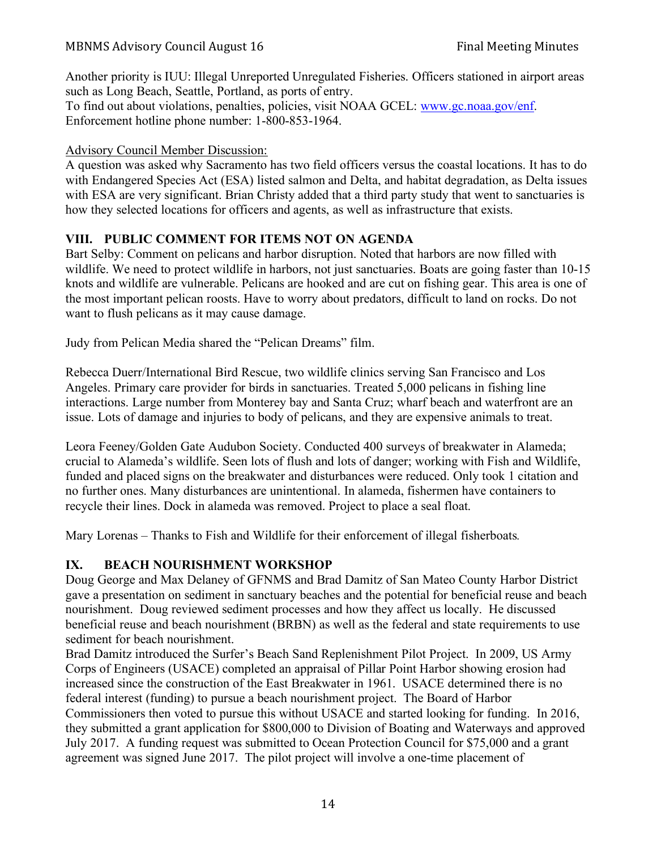Another priority is IUU: Illegal Unreported Unregulated Fisheries. Officers stationed in airport areas such as Long Beach, Seattle, Portland, as ports of entry.

To find out about violations, penalties, policies, visit NOAA GCEL: www.gc.noaa.gov/enf. Enforcement hotline phone number: 1-800-853-1964.

# Advisory Council Member Discussion:

A question was asked why Sacramento has two field officers versus the coastal locations. It has to do with Endangered Species Act (ESA) listed salmon and Delta, and habitat degradation, as Delta issues with ESA are very significant. Brian Christy added that a third party study that went to sanctuaries is how they selected locations for officers and agents, as well as infrastructure that exists.

# **VIII. PUBLIC COMMENT FOR ITEMS NOT ON AGENDA**

Bart Selby: Comment on pelicans and harbor disruption. Noted that harbors are now filled with wildlife. We need to protect wildlife in harbors, not just sanctuaries. Boats are going faster than 10-15 knots and wildlife are vulnerable. Pelicans are hooked and are cut on fishing gear. This area is one of the most important pelican roosts. Have to worry about predators, difficult to land on rocks. Do not want to flush pelicans as it may cause damage.

Judy from Pelican Media shared the "Pelican Dreams" film.

Rebecca Duerr/International Bird Rescue, two wildlife clinics serving San Francisco and Los Angeles. Primary care provider for birds in sanctuaries. Treated 5,000 pelicans in fishing line interactions. Large number from Monterey bay and Santa Cruz; wharf beach and waterfront are an issue. Lots of damage and injuries to body of pelicans, and they are expensive animals to treat.

Leora Feeney/Golden Gate Audubon Society. Conducted 400 surveys of breakwater in Alameda; crucial to Alameda's wildlife. Seen lots of flush and lots of danger; working with Fish and Wildlife, funded and placed signs on the breakwater and disturbances were reduced. Only took 1 citation and no further ones. Many disturbances are unintentional. In alameda, fishermen have containers to recycle their lines. Dock in alameda was removed. Project to place a seal float.

Mary Lorenas – Thanks to Fish and Wildlife for their enforcement of illegal fisherboats*.* 

# **IX. BEACH NOURISHMENT WORKSHOP**

Doug George and Max Delaney of GFNMS and Brad Damitz of San Mateo County Harbor District gave a presentation on sediment in sanctuary beaches and the potential for beneficial reuse and beach nourishment. Doug reviewed sediment processes and how they affect us locally. He discussed beneficial reuse and beach nourishment (BRBN) as well as the federal and state requirements to use sediment for beach nourishment.

Brad Damitz introduced the Surfer's Beach Sand Replenishment Pilot Project. In 2009, US Army Corps of Engineers (USACE) completed an appraisal of Pillar Point Harbor showing erosion had increased since the construction of the East Breakwater in 1961. USACE determined there is no federal interest (funding) to pursue a beach nourishment project. The Board of Harbor Commissioners then voted to pursue this without USACE and started looking for funding. In 2016, they submitted a grant application for \$800,000 to Division of Boating and Waterways and approved July 2017. A funding request was submitted to Ocean Protection Council for \$75,000 and a grant agreement was signed June 2017. The pilot project will involve a one-time placement of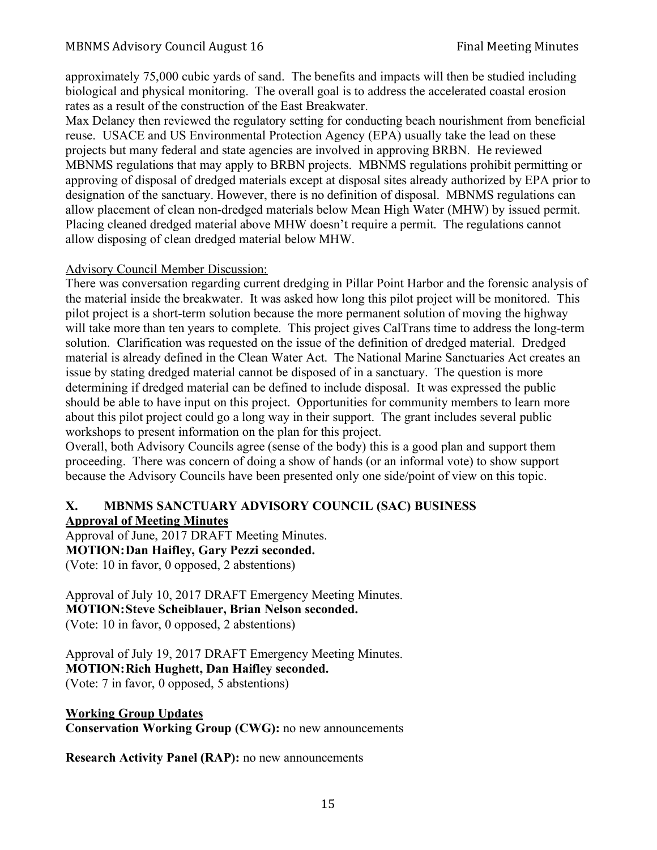approximately 75,000 cubic yards of sand. The benefits and impacts will then be studied including biological and physical monitoring. The overall goal is to address the accelerated coastal erosion rates as a result of the construction of the East Breakwater.

Max Delaney then reviewed the regulatory setting for conducting beach nourishment from beneficial reuse. USACE and US Environmental Protection Agency (EPA) usually take the lead on these projects but many federal and state agencies are involved in approving BRBN. He reviewed MBNMS regulations that may apply to BRBN projects. MBNMS regulations prohibit permitting or approving of disposal of dredged materials except at disposal sites already authorized by EPA prior to designation of the sanctuary. However, there is no definition of disposal. MBNMS regulations can allow placement of clean non-dredged materials below Mean High Water (MHW) by issued permit. Placing cleaned dredged material above MHW doesn't require a permit. The regulations cannot allow disposing of clean dredged material below MHW.

#### Advisory Council Member Discussion:

There was conversation regarding current dredging in Pillar Point Harbor and the forensic analysis of the material inside the breakwater. It was asked how long this pilot project will be monitored. This pilot project is a short-term solution because the more permanent solution of moving the highway will take more than ten years to complete. This project gives CalTrans time to address the long-term solution. Clarification was requested on the issue of the definition of dredged material. Dredged material is already defined in the Clean Water Act. The National Marine Sanctuaries Act creates an issue by stating dredged material cannot be disposed of in a sanctuary. The question is more determining if dredged material can be defined to include disposal. It was expressed the public should be able to have input on this project. Opportunities for community members to learn more about this pilot project could go a long way in their support. The grant includes several public workshops to present information on the plan for this project.

Overall, both Advisory Councils agree (sense of the body) this is a good plan and support them proceeding. There was concern of doing a show of hands (or an informal vote) to show support because the Advisory Councils have been presented only one side/point of view on this topic.

## **X. MBNMS SANCTUARY ADVISORY COUNCIL (SAC) BUSINESS Approval of Meeting Minutes**

Approval of June, 2017 DRAFT Meeting Minutes. **MOTION:Dan Haifley, Gary Pezzi seconded.** (Vote: 10 in favor, 0 opposed, 2 abstentions)

Approval of July 10, 2017 DRAFT Emergency Meeting Minutes. **MOTION:Steve Scheiblauer, Brian Nelson seconded.** (Vote: 10 in favor, 0 opposed, 2 abstentions)

Approval of July 19, 2017 DRAFT Emergency Meeting Minutes. **MOTION:Rich Hughett, Dan Haifley seconded.** (Vote: 7 in favor, 0 opposed, 5 abstentions)

**Working Group Updates Conservation Working Group (CWG):** no new announcements

**Research Activity Panel (RAP):** no new announcements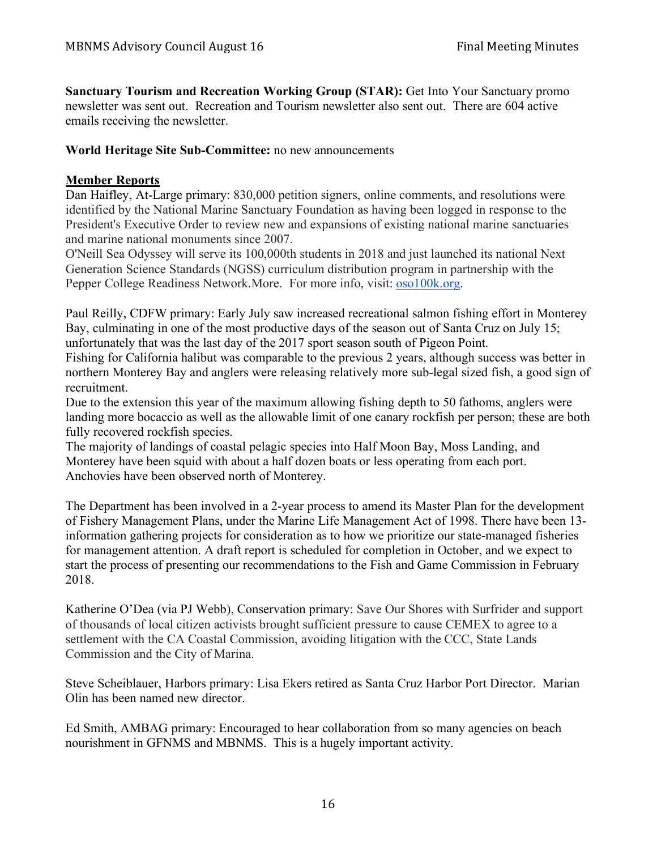**Sanctuary Tourism and Recreation Working Group (STAR):** Get Into Your Sanctuary promo newsletter was sent out. Recreation and Tourism newsletter also sent out. There are 604 active emails receiving the newsletter.

#### **World Heritage Site Sub-Committee:** no new announcements

#### **Member Reports**

Dan Haifley, At-Large primary: 830,000 petition signers, online comments, and resolutions were identified by the National Marine Sanctuary Foundation as having been logged in response to the President's Executive Order to review new and expansions of existing national marine sanctuaries and marine national monuments since 2007.

O'Neill Sea Odyssey will serve its 100,000th students in 2018 and just launched its national Next Generation Science Standards (NGSS) curriculum distribution program in partnership with the Pepper College Readiness Network.More. For more info, visit: oso100k.org.

Paul Reilly, CDFW primary: Early July saw increased recreational salmon fishing effort in Monterey Bay, culminating in one of the most productive days of the season out of Santa Cruz on July 15; unfortunately that was the last day of the 2017 sport season south of Pigeon Point.

Fishing for California halibut was comparable to the previous 2 years, although success was better in northern Monterey Bay and anglers were releasing relatively more sub-legal sized fish, a good sign of recruitment.

Due to the extension this year of the maximum allowing fishing depth to 50 fathoms, anglers were landing more bocaccio as well as the allowable limit of one canary rockfish per person; these are both fully recovered rockfish species.

The majority of landings of coastal pelagic species into Half Moon Bay, Moss Landing, and Monterey have been squid with about a half dozen boats or less operating from each port. Anchovies have been observed north of Monterey.

The Department has been involved in a 2-year process to amend its Master Plan for the development of Fishery Management Plans, under the Marine Life Management Act of 1998. There have been 13 information gathering projects for consideration as to how we prioritize our state-managed fisheries for management attention. A draft report is scheduled for completion in October, and we expect to start the process of presenting our recommendations to the Fish and Game Commission in February 2018.

Katherine O'Dea (via PJ Webb), Conservation primary: Save Our Shores with Surfrider and support of thousands of local citizen activists brought sufficient pressure to cause CEMEX to agree to a settlement with the CA Coastal Commission, avoiding litigation with the CCC, State Lands Commission and the City of Marina.

Steve Scheiblauer, Harbors primary: Lisa Ekers retired as Santa Cruz Harbor Port Director. Marian Olin has been named new director.

Ed Smith, AMBAG primary: Encouraged to hear collaboration from so many agencies on beach nourishment in GFNMS and MBNMS. This is a hugely important activity.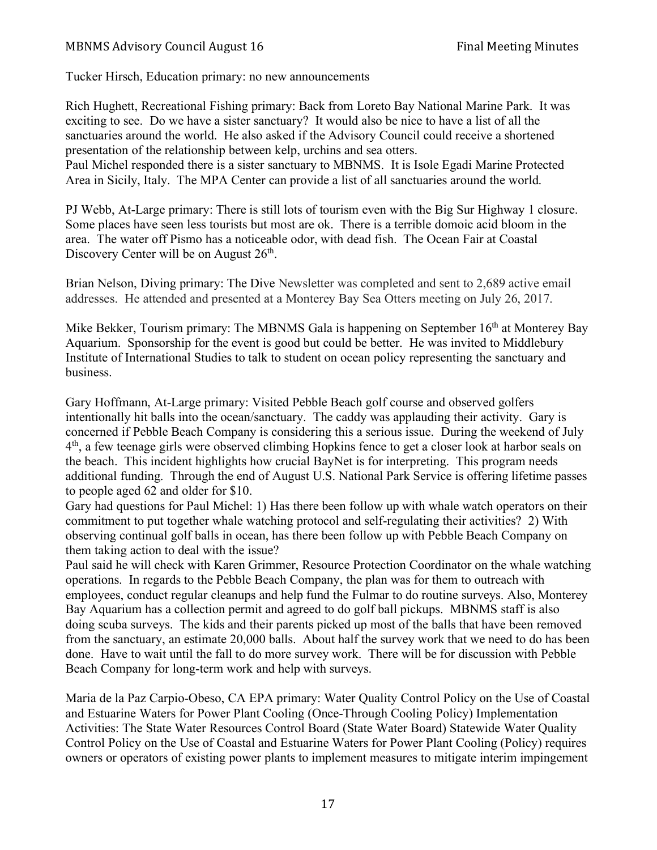Tucker Hirsch, Education primary: no new announcements

Rich Hughett, Recreational Fishing primary: Back from Loreto Bay National Marine Park. It was exciting to see. Do we have a sister sanctuary? It would also be nice to have a list of all the sanctuaries around the world. He also asked if the Advisory Council could receive a shortened presentation of the relationship between kelp, urchins and sea otters. Paul Michel responded there is a sister sanctuary to MBNMS. It is Isole Egadi Marine Protected

Area in Sicily, Italy. The MPA Center can provide a list of all sanctuaries around the world.

PJ Webb, At-Large primary: There is still lots of tourism even with the Big Sur Highway 1 closure. Some places have seen less tourists but most are ok. There is a terrible domoic acid bloom in the area. The water off Pismo has a noticeable odor, with dead fish. The Ocean Fair at Coastal Discovery Center will be on August  $26<sup>th</sup>$ .

Brian Nelson, Diving primary: The Dive Newsletter was completed and sent to 2,689 active email addresses. He attended and presented at a Monterey Bay Sea Otters meeting on July 26, 2017.

Mike Bekker, Tourism primary: The MBNMS Gala is happening on September  $16<sup>th</sup>$  at Monterey Bay Aquarium. Sponsorship for the event is good but could be better. He was invited to Middlebury Institute of International Studies to talk to student on ocean policy representing the sanctuary and business.

Gary Hoffmann, At-Large primary: Visited Pebble Beach golf course and observed golfers intentionally hit balls into the ocean/sanctuary. The caddy was applauding their activity. Gary is concerned if Pebble Beach Company is considering this a serious issue. During the weekend of July  $4<sup>th</sup>$ , a few teenage girls were observed climbing Hopkins fence to get a closer look at harbor seals on the beach. This incident highlights how crucial BayNet is for interpreting. This program needs additional funding. Through the end of August U.S. National Park Service is offering lifetime passes to people aged 62 and older for \$10.

Gary had questions for Paul Michel: 1) Has there been follow up with whale watch operators on their commitment to put together whale watching protocol and self-regulating their activities? 2) With observing continual golf balls in ocean, has there been follow up with Pebble Beach Company on them taking action to deal with the issue?

Paul said he will check with Karen Grimmer, Resource Protection Coordinator on the whale watching operations. In regards to the Pebble Beach Company, the plan was for them to outreach with employees, conduct regular cleanups and help fund the Fulmar to do routine surveys. Also, Monterey Bay Aquarium has a collection permit and agreed to do golf ball pickups. MBNMS staff is also doing scuba surveys. The kids and their parents picked up most of the balls that have been removed from the sanctuary, an estimate 20,000 balls. About half the survey work that we need to do has been done. Have to wait until the fall to do more survey work. There will be for discussion with Pebble Beach Company for long-term work and help with surveys.

Maria de la Paz Carpio-Obeso, CA EPA primary: Water Quality Control Policy on the Use of Coastal and Estuarine Waters for Power Plant Cooling (Once-Through Cooling Policy) Implementation Activities: The State Water Resources Control Board (State Water Board) Statewide Water Quality Control Policy on the Use of Coastal and Estuarine Waters for Power Plant Cooling (Policy) requires owners or operators of existing power plants to implement measures to mitigate interim impingement